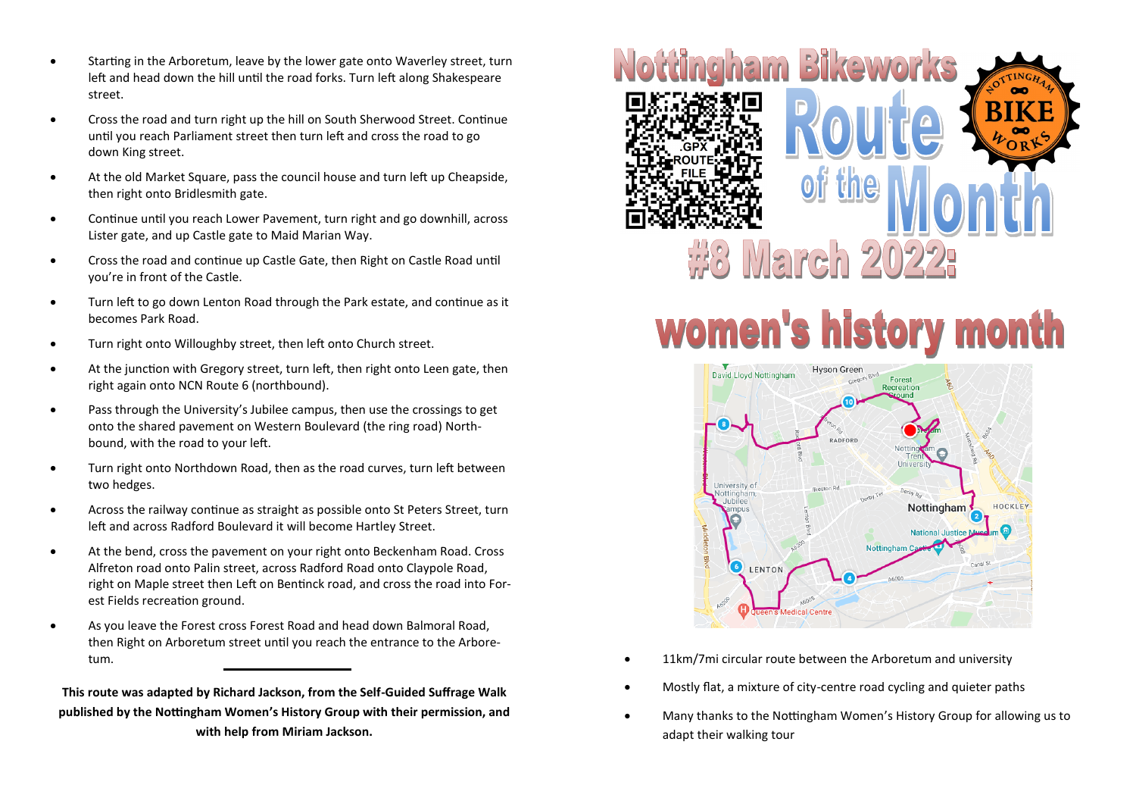- Starting in the Arboretum, leave by the lower gate onto Waverley street, turn left and head down the hill until the road forks. Turn left along Shakespeare street.
- Cross the road and turn right up the hill on South Sherwood Street. Continue until you reach Parliament street then turn left and cross the road to go down King street.
- At the old Market Square, pass the council house and turn left up Cheapside, then right onto Bridlesmith gate.
- Continue until you reach Lower Pavement, turn right and go downhill, across Lister gate, and up Castle gate to Maid Marian Way.
- Cross the road and continue up Castle Gate, then Right on Castle Road until you're in front of the Castle.
- Turn left to go down Lenton Road through the Park estate, and continue as it becomes Park Road.
- Turn right onto Willoughby street, then left onto Church street.
- At the junction with Gregory street, turn left, then right onto Leen gate, then right again onto NCN Route 6 (northbound).
- Pass through the University's Jubilee campus, then use the crossings to get onto the shared pavement on Western Boulevard (the ring road) Northbound, with the road to your left.
- Turn right onto Northdown Road, then as the road curves, turn left between two hedges.
- Across the railway continue as straight as possible onto St Peters Street, turn left and across Radford Boulevard it will become Hartley Street.
- At the bend, cross the pavement on your right onto Beckenham Road. Cross Alfreton road onto Palin street, across Radford Road onto Claypole Road, right on Maple street then Left on Bentinck road, and cross the road into Forest Fields recreation ground.
- As you leave the Forest cross Forest Road and head down Balmoral Road, then Right on Arboretum street until you reach the entrance to the Arboretum.

**This route was adapted by Richard Jackson, from the Self-Guided Suffrage Walk published by the Nottingham Women's History Group with their permission, and with help from Miriam Jackson.**



## women's history month



- 11km/7mi circular route between the Arboretum and university
- Mostly flat, a mixture of city-centre road cycling and quieter paths
- Many thanks to the Nottingham Women's History Group for allowing us to adapt their walking tour